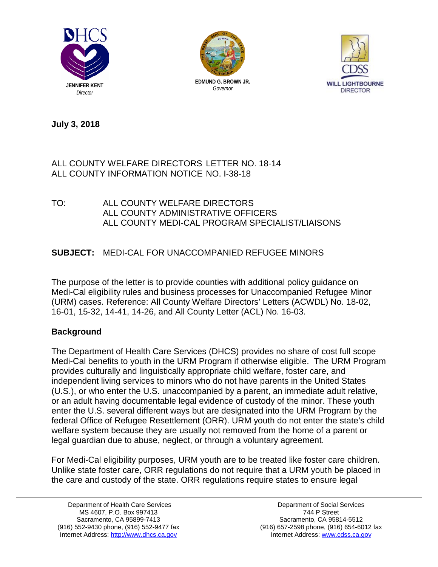





**July 3, 2018** 

## ALL COUNTY WELFARE DIRECTORS LETTER NO. 18-14 ALL COUNTY INFORMATION NOTICE NO. I-38-18

TO: ALL COUNTY WELFARE DIRECTORS ALL COUNTY ADMINISTRATIVE OFFICERS ALL COUNTY MEDI-CAL PROGRAM SPECIALIST/LIAISONS

# **SUBJECT:** MEDI-CAL FOR UNACCOMPANIED REFUGEE MINORS

The purpose of the letter is to provide counties with additional policy guidance on Medi-Cal eligibility rules and business processes for Unaccompanied Refugee Minor (URM) cases. Reference: All County Welfare Directors' Letters (ACWDL) No. 18-02, 16-01, 15-32, 14-41, 14-26, and All County Letter (ACL) No. 16-03.

## **Background**

The Department of Health Care Services (DHCS) provides no share of cost full scope Medi-Cal benefits to youth in the URM Program if otherwise eligible. The URM Program provides culturally and linguistically appropriate child welfare, foster care, and independent living services to minors who do not have parents in the United States (U.S.), or who enter the U.S. unaccompanied by a parent, an immediate adult relative, or an adult having documentable legal evidence of custody of the minor. These youth enter the U.S. several different ways but are designated into the URM Program by the federal Office of Refugee Resettlement (ORR). URM youth do not enter the state's child welfare system because they are usually not removed from the home of a parent or legal guardian due to abuse, neglect, or through a voluntary agreement.

For Medi-Cal eligibility purposes, URM youth are to be treated like foster care children. Unlike state foster care, ORR regulations do not require that a URM youth be placed in the care and custody of the state. ORR regulations require states to ensure legal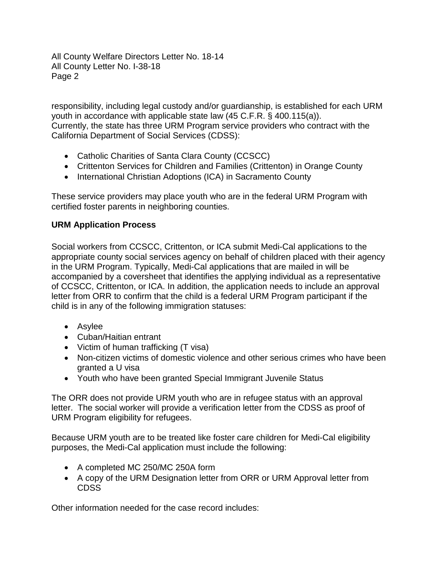responsibility, including legal custody and/or guardianship, is established for each URM youth in accordance with applicable state law (45 C.F.R. § 400.115(a)). Currently, the state has three URM Program service providers who contract with the California Department of Social Services (CDSS):

- Catholic Charities of Santa Clara County (CCSCC)
- Crittenton Services for Children and Families (Crittenton) in Orange County
- International Christian Adoptions (ICA) in Sacramento County

These service providers may place youth who are in the federal URM Program with certified foster parents in neighboring counties.

## **URM Application Process**

Social workers from CCSCC, Crittenton, or ICA submit Medi-Cal applications to the appropriate county social services agency on behalf of children placed with their agency in the URM Program. Typically, Medi-Cal applications that are mailed in will be accompanied by a coversheet that identifies the applying individual as a representative of CCSCC, Crittenton, or ICA. In addition, the application needs to include an approval letter from ORR to confirm that the child is a federal URM Program participant if the child is in any of the following immigration statuses:

- Asylee
- Cuban/Haitian entrant
- Victim of human trafficking (T visa)
- Non-citizen victims of domestic violence and other serious crimes who have been granted a U visa
- Youth who have been granted Special Immigrant Juvenile Status

The ORR does not provide URM youth who are in refugee status with an approval letter. The social worker will provide a verification letter from the CDSS as proof of URM Program eligibility for refugees.

Because URM youth are to be treated like foster care children for Medi-Cal eligibility purposes, the Medi-Cal application must include the following:

- A completed MC 250/MC 250A form
- A copy of the URM Designation letter from ORR or URM Approval letter from CDSS

Other information needed for the case record includes: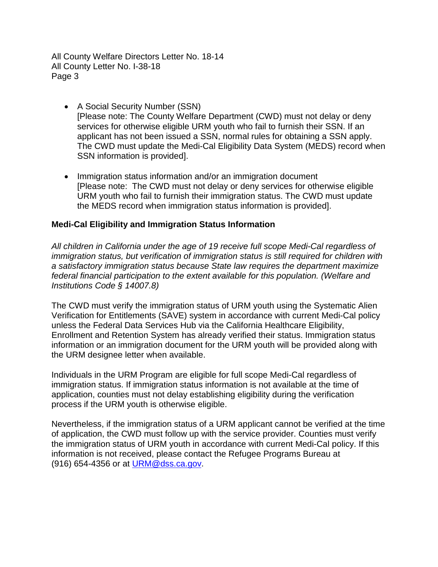- A Social Security Number (SSN) [Please note: The County Welfare Department (CWD) must not delay or deny services for otherwise eligible URM youth who fail to furnish their SSN. If an applicant has not been issued a SSN, normal rules for obtaining a SSN apply. The CWD must update the Medi-Cal Eligibility Data System (MEDS) record when SSN information is provided].
- Immigration status information and/or an immigration document [Please note: The CWD must not delay or deny services for otherwise eligible URM youth who fail to furnish their immigration status. The CWD must update the MEDS record when immigration status information is provided].

### **Medi-Cal Eligibility and Immigration Status Information**

*All children in California under the age of 19 receive full scope Medi-Cal regardless of immigration status, but verification of immigration status is still required for children with a satisfactory immigration status because State law requires the department maximize federal financial participation to the extent available for this population. (Welfare and Institutions Code § 14007.8)* 

The CWD must verify the immigration status of URM youth using the Systematic Alien Verification for Entitlements (SAVE) system in accordance with current Medi-Cal policy unless the Federal Data Services Hub via the California Healthcare Eligibility, Enrollment and Retention System has already verified their status. Immigration status information or an immigration document for the URM youth will be provided along with the URM designee letter when available.

Individuals in the URM Program are eligible for full scope Medi-Cal regardless of immigration status. If immigration status information is not available at the time of application, counties must not delay establishing eligibility during the verification process if the URM youth is otherwise eligible.

Nevertheless, if the immigration status of a URM applicant cannot be verified at the time of application, the CWD must follow up with the service provider. Counties must verify the immigration status of URM youth in accordance with current Medi-Cal policy. If this information is not received, please contact the Refugee Programs Bureau at (916) 654-4356 or at [URM@dss.ca.gov](mailto:URM@dss.ca.gov).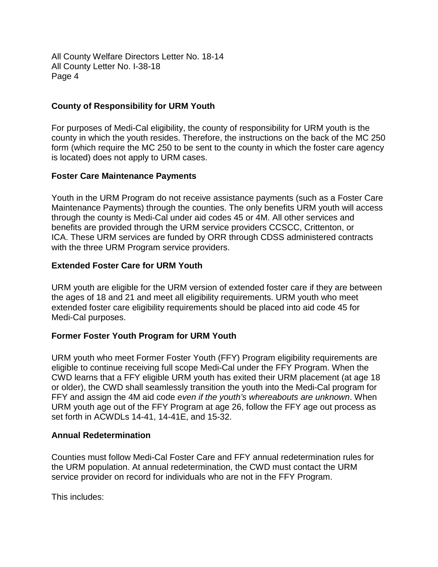### **County of Responsibility for URM Youth**

For purposes of Medi-Cal eligibility, the county of responsibility for URM youth is the county in which the youth resides. Therefore, the instructions on the back of the MC 250 form (which require the MC 250 to be sent to the county in which the foster care agency is located) does not apply to URM cases.

### **Foster Care Maintenance Payments**

Youth in the URM Program do not receive assistance payments (such as a Foster Care Maintenance Payments) through the counties. The only benefits URM youth will access through the county is Medi-Cal under aid codes 45 or 4M. All other services and benefits are provided through the URM service providers CCSCC, Crittenton, or ICA. These URM services are funded by ORR through CDSS administered contracts with the three URM Program service providers.

### **Extended Foster Care for URM Youth**

URM youth are eligible for the URM version of extended foster care if they are between the ages of 18 and 21 and meet all eligibility requirements. URM youth who meet extended foster care eligibility requirements should be placed into aid code 45 for Medi-Cal purposes.

### **Former Foster Youth Program for URM Youth**

URM youth who meet Former Foster Youth (FFY) Program eligibility requirements are eligible to continue receiving full scope Medi-Cal under the FFY Program. When the CWD learns that a FFY eligible URM youth has exited their URM placement (at age 18 or older), the CWD shall seamlessly transition the youth into the Medi-Cal program for FFY and assign the 4M aid code *even if the youth's whereabouts are unknown*. When URM youth age out of the FFY Program at age 26, follow the FFY age out process as set forth in ACWDLs 14-41, 14-41E, and 15-32.

#### **Annual Redetermination**

Counties must follow Medi-Cal Foster Care and FFY annual redetermination rules for the URM population. At annual redetermination, the CWD must contact the URM service provider on record for individuals who are not in the FFY Program.

This includes: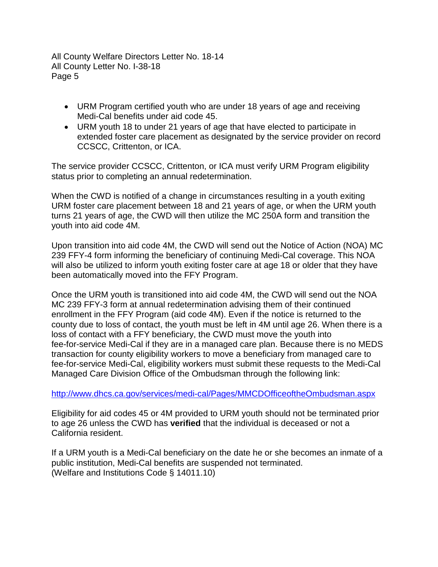- URM Program certified youth who are under 18 years of age and receiving Medi-Cal benefits under aid code 45.
- URM youth 18 to under 21 years of age that have elected to participate in extended foster care placement as designated by the service provider on record CCSCC, Crittenton, or ICA.

The service provider CCSCC, Crittenton, or ICA must verify URM Program eligibility status prior to completing an annual redetermination.

When the CWD is notified of a change in circumstances resulting in a youth exiting URM foster care placement between 18 and 21 years of age, or when the URM youth turns 21 years of age, the CWD will then utilize the MC 250A form and transition the youth into aid code 4M.

Upon transition into aid code 4M, the CWD will send out the Notice of Action (NOA) MC 239 FFY-4 form informing the beneficiary of continuing Medi-Cal coverage. This NOA will also be utilized to inform youth exiting foster care at age 18 or older that they have been automatically moved into the FFY Program.

Once the URM youth is transitioned into aid code 4M, the CWD will send out the NOA MC 239 FFY-3 form at annual redetermination advising them of their continued enrollment in the FFY Program (aid code 4M). Even if the notice is returned to the county due to loss of contact, the youth must be left in 4M until age 26. When there is a loss of contact with a FFY beneficiary, the CWD must move the youth into fee-for-service Medi-Cal if they are in a managed care plan. Because there is no MEDS transaction for county eligibility workers to move a beneficiary from managed care to fee-for-service Medi-Cal, eligibility workers must submit these requests to the Medi-Cal Managed Care Division Office of the Ombudsman through the following link:

<http://www.dhcs.ca.gov/services/medi-cal/Pages/MMCDOfficeoftheOmbudsman.aspx>

Eligibility for aid codes 45 or 4M provided to URM youth should not be terminated prior to age 26 unless the CWD has **verified** that the individual is deceased or not a California resident.

If a URM youth is a Medi-Cal beneficiary on the date he or she becomes an inmate of a public institution, Medi-Cal benefits are suspended not terminated. (Welfare and Institutions Code § 14011.10)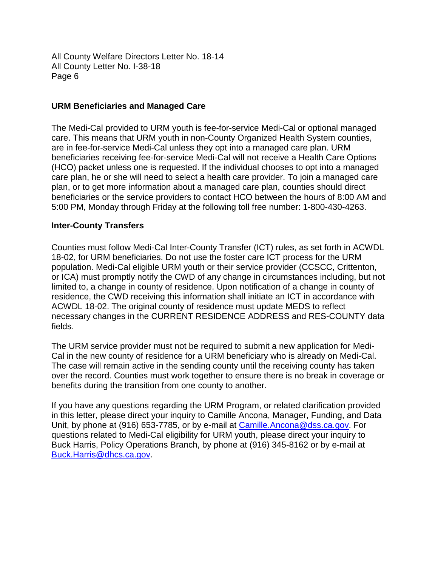#### **URM Beneficiaries and Managed Care**

The Medi-Cal provided to URM youth is fee-for-service Medi-Cal or optional managed care. This means that URM youth in non-County Organized Health System counties, are in fee-for-service Medi-Cal unless they opt into a managed care plan. URM beneficiaries receiving fee-for-service Medi-Cal will not receive a Health Care Options (HCO) packet unless one is requested. If the individual chooses to opt into a managed care plan, he or she will need to select a health care provider. To join a managed care plan, or to get more information about a managed care plan, counties should direct beneficiaries or the service providers to contact HCO between the hours of 8:00 AM and 5:00 PM, Monday through Friday at the following toll free number: 1-800-430-4263.

#### **Inter-County Transfers**

Counties must follow Medi-Cal Inter-County Transfer (ICT) rules, as set forth in ACWDL 18-02, for URM beneficiaries. Do not use the foster care ICT process for the URM population. Medi-Cal eligible URM youth or their service provider (CCSCC, Crittenton, or ICA) must promptly notify the CWD of any change in circumstances including, but not limited to, a change in county of residence. Upon notification of a change in county of residence, the CWD receiving this information shall initiate an ICT in accordance with ACWDL 18-02. The original county of residence must update MEDS to reflect necessary changes in the CURRENT RESIDENCE ADDRESS and RES-COUNTY data fields.

The URM service provider must not be required to submit a new application for Medi-Cal in the new county of residence for a URM beneficiary who is already on Medi-Cal. The case will remain active in the sending county until the receiving county has taken over the record. Counties must work together to ensure there is no break in coverage or benefits during the transition from one county to another.

If you have any questions regarding the URM Program, or related clarification provided in this letter, please direct your inquiry to Camille Ancona, Manager, Funding, and Data Unit, by phone at (916) 653-7785, or by e-mail at [Camille.Ancona@dss.ca.gov](mailto:Camille.Ancona@dss.ca.gov). For questions related to Medi-Cal eligibility for URM youth, please direct your inquiry to Buck Harris, Policy Operations Branch, by phone at (916) 345-8162 or by e-mail at [Buck.Harris@dhcs.ca.gov](mailto:Buck.Harris@dhcs.ca.gov).